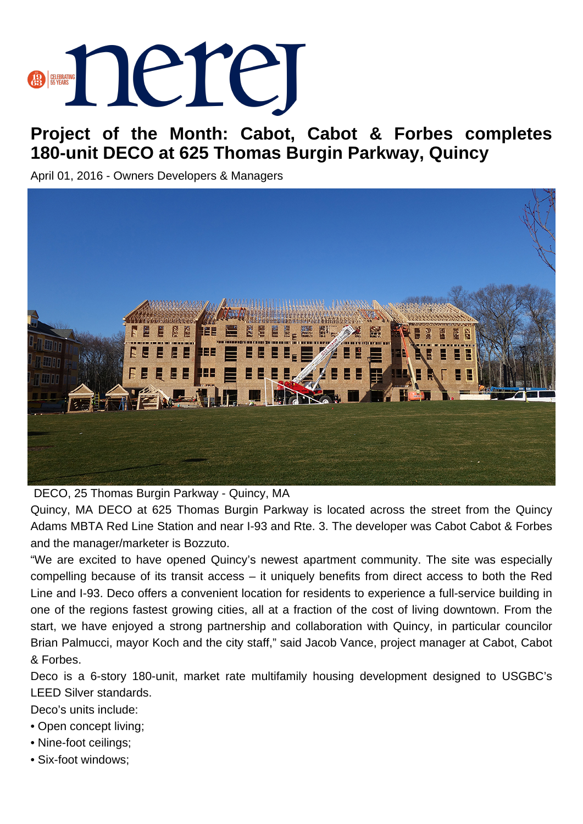

## **Project of the Month: Cabot, Cabot & Forbes completes 180-unit DECO at 625 Thomas Burgin Parkway, Quincy**

April 01, 2016 - Owners Developers & Managers



DECO, 25 Thomas Burgin Parkway - Quincy, MA

Quincy, MA DECO at 625 Thomas Burgin Parkway is located across the street from the Quincy Adams MBTA Red Line Station and near I-93 and Rte. 3. The developer was Cabot Cabot & Forbes and the manager/marketer is Bozzuto.

"We are excited to have opened Quincy's newest apartment community. The site was especially compelling because of its transit access – it uniquely benefits from direct access to both the Red Line and I-93. Deco offers a convenient location for residents to experience a full-service building in one of the regions fastest growing cities, all at a fraction of the cost of living downtown. From the start, we have enjoyed a strong partnership and collaboration with Quincy, in particular councilor Brian Palmucci, mayor Koch and the city staff," said Jacob Vance, project manager at Cabot, Cabot & Forbes.

Deco is a 6-story 180-unit, market rate multifamily housing development designed to USGBC's LEED Silver standards.

Deco's units include:

- Open concept living;
- Nine-foot ceilings;
- Six-foot windows;